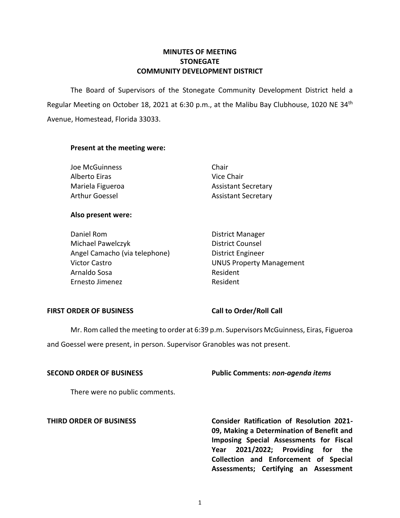## **MINUTES OF MEETING STONEGATE COMMUNITY DEVELOPMENT DISTRICT**

The Board of Supervisors of the Stonegate Community Development District held a Regular Meeting on October 18, 2021 at 6:30 p.m., at the Malibu Bay Clubhouse, 1020 NE 34<sup>th</sup> Avenue, Homestead, Florida 33033.

## **Present at the meeting were:**

| Joe McGuinness        | Chair                      |
|-----------------------|----------------------------|
| Alberto Eiras         | Vice Chair                 |
| Mariela Figueroa      | <b>Assistant Secretary</b> |
| <b>Arthur Goessel</b> | <b>Assistant Secretary</b> |

## **Also present were:**

Daniel Rom **District Manager** Michael Pawelczyk District Counsel Angel Camacho (via telephone) District Engineer Victor Castro **Victor Castro Castro Castro Castro Castro Castro Castro Castro Castro Castro Castro Castro Castro C** Arnaldo Sosa **Resident** Ernesto Jimenez Resident

## **FIRST ORDER OF BUSINESS Call to Order/Roll Call**

Mr. Rom called the meeting to order at 6:39 p.m. Supervisors McGuinness, Eiras, Figueroa and Goessel were present, in person. Supervisor Granobles was not present.

**SECOND ORDER OF BUSINESS Public Comments:** *non-agenda items* 

There were no public comments.

**THIRD ORDER OF BUSINESS Consider Ratification of Resolution 2021- 09, Making a Determination of Benefit and Imposing Special Assessments for Fiscal Year 2021/2022; Providing for the Collection and Enforcement of Special Assessments; Certifying an Assessment**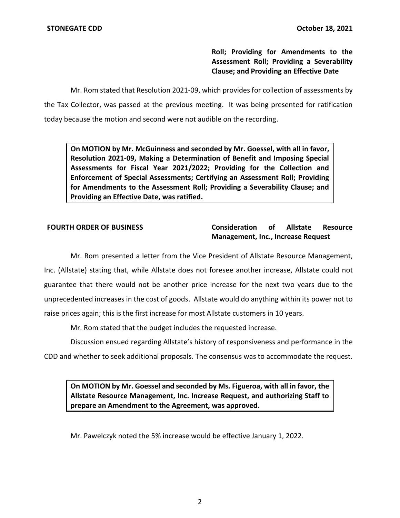**Roll; Providing for Amendments to the Assessment Roll; Providing a Severability Clause; and Providing an Effective Date** 

Mr. Rom stated that Resolution 2021-09, which provides for collection of assessments by the Tax Collector, was passed at the previous meeting. It was being presented for ratification today because the motion and second were not audible on the recording.

**On MOTION by Mr. McGuinness and seconded by Mr. Goessel, with all in favor, Resolution 2021-09, Making a Determination of Benefit and Imposing Special Assessments for Fiscal Year 2021/2022; Providing for the Collection and Enforcement of Special Assessments; Certifying an Assessment Roll; Providing for Amendments to the Assessment Roll; Providing a Severability Clause; and Providing an Effective Date, was ratified.** 

## **FOURTH ORDER OF BUSINESS Consideration of Allstate Resource Management, Inc., Increase Request**

Mr. Rom presented a letter from the Vice President of Allstate Resource Management, Inc. (Allstate) stating that, while Allstate does not foresee another increase, Allstate could not guarantee that there would not be another price increase for the next two years due to the unprecedented increases in the cost of goods. Allstate would do anything within its power not to raise prices again; this is the first increase for most Allstate customers in 10 years.

Mr. Rom stated that the budget includes the requested increase.

 Discussion ensued regarding Allstate's history of responsiveness and performance in the CDD and whether to seek additional proposals. The consensus was to accommodate the request.

**On MOTION by Mr. Goessel and seconded by Ms. Figueroa, with all in favor, the Allstate Resource Management, Inc. Increase Request, and authorizing Staff to prepare an Amendment to the Agreement, was approved.** 

Mr. Pawelczyk noted the 5% increase would be effective January 1, 2022.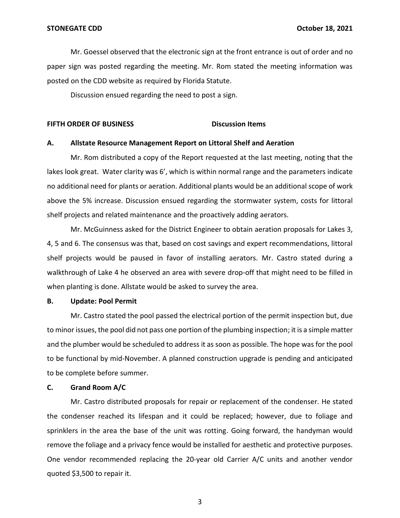Mr. Goessel observed that the electronic sign at the front entrance is out of order and no paper sign was posted regarding the meeting. Mr. Rom stated the meeting information was posted on the CDD website as required by Florida Statute.

Discussion ensued regarding the need to post a sign.

#### **FIFTH ORDER OF BUSINESS DISCUSSION DISCUSSION ITEMS**

#### **A. Allstate Resource Management Report on Littoral Shelf and Aeration**

Mr. Rom distributed a copy of the Report requested at the last meeting, noting that the lakes look great. Water clarity was 6', which is within normal range and the parameters indicate no additional need for plants or aeration. Additional plants would be an additional scope of work above the 5% increase. Discussion ensued regarding the stormwater system, costs for littoral shelf projects and related maintenance and the proactively adding aerators.

Mr. McGuinness asked for the District Engineer to obtain aeration proposals for Lakes 3, 4, 5 and 6. The consensus was that, based on cost savings and expert recommendations, littoral shelf projects would be paused in favor of installing aerators. Mr. Castro stated during a walkthrough of Lake 4 he observed an area with severe drop-off that might need to be filled in when planting is done. Allstate would be asked to survey the area.

#### **B. Update: Pool Permit**

Mr. Castro stated the pool passed the electrical portion of the permit inspection but, due to minor issues, the pool did not pass one portion of the plumbing inspection; it is a simple matter and the plumber would be scheduled to address it as soon as possible. The hope was for the pool to be functional by mid-November. A planned construction upgrade is pending and anticipated to be complete before summer.

#### **C. Grand Room A/C**

Mr. Castro distributed proposals for repair or replacement of the condenser. He stated the condenser reached its lifespan and it could be replaced; however, due to foliage and sprinklers in the area the base of the unit was rotting. Going forward, the handyman would remove the foliage and a privacy fence would be installed for aesthetic and protective purposes. One vendor recommended replacing the 20-year old Carrier A/C units and another vendor quoted \$3,500 to repair it.

3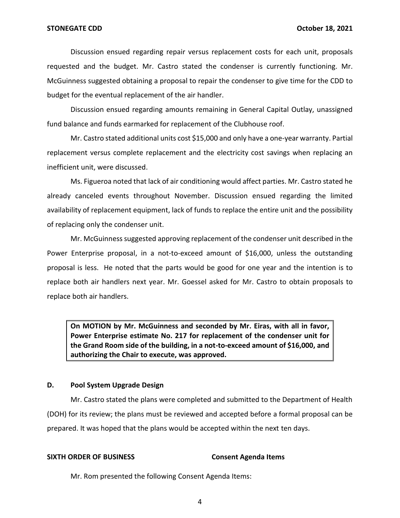Discussion ensued regarding repair versus replacement costs for each unit, proposals requested and the budget. Mr. Castro stated the condenser is currently functioning. Mr. McGuinness suggested obtaining a proposal to repair the condenser to give time for the CDD to budget for the eventual replacement of the air handler.

Discussion ensued regarding amounts remaining in General Capital Outlay, unassigned fund balance and funds earmarked for replacement of the Clubhouse roof.

Mr. Castro stated additional units cost \$15,000 and only have a one-year warranty. Partial replacement versus complete replacement and the electricity cost savings when replacing an inefficient unit, were discussed.

Ms. Figueroa noted that lack of air conditioning would affect parties. Mr. Castro stated he already canceled events throughout November. Discussion ensued regarding the limited availability of replacement equipment, lack of funds to replace the entire unit and the possibility of replacing only the condenser unit.

Mr. McGuinness suggested approving replacement of the condenser unit described in the Power Enterprise proposal, in a not-to-exceed amount of \$16,000, unless the outstanding proposal is less. He noted that the parts would be good for one year and the intention is to replace both air handlers next year. Mr. Goessel asked for Mr. Castro to obtain proposals to replace both air handlers.

**On MOTION by Mr. McGuinness and seconded by Mr. Eiras, with all in favor, Power Enterprise estimate No. 217 for replacement of the condenser unit for the Grand Room side of the building, in a not-to-exceed amount of \$16,000, and authorizing the Chair to execute, was approved.** 

## **D. Pool System Upgrade Design**

Mr. Castro stated the plans were completed and submitted to the Department of Health (DOH) for its review; the plans must be reviewed and accepted before a formal proposal can be prepared. It was hoped that the plans would be accepted within the next ten days.

# **SIXTH ORDER OF BUSINESS Consent Agenda Items**

Mr. Rom presented the following Consent Agenda Items:

4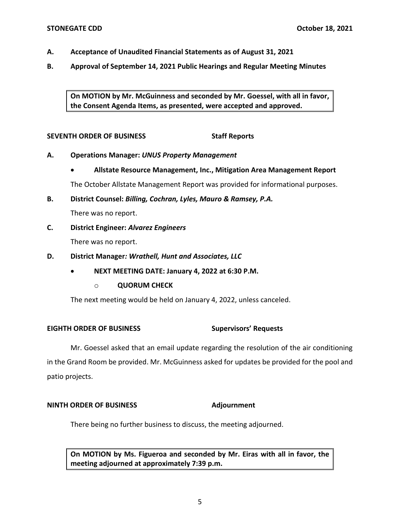- **A. Acceptance of Unaudited Financial Statements as of August 31, 2021**
- **B. Approval of September 14, 2021 Public Hearings and Regular Meeting Minutes**

**On MOTION by Mr. McGuinness and seconded by Mr. Goessel, with all in favor, the Consent Agenda Items, as presented, were accepted and approved.** 

## **SEVENTH ORDER OF BUSINESS SEVENTH ORDER OF BUSINESS**

- **A. Operations Manager:** *UNUS Property Management* 
	- **Allstate Resource Management, Inc., Mitigation Area Management Report**

The October Allstate Management Report was provided for informational purposes.

**B. District Counsel:** *Billing, Cochran, Lyles, Mauro & Ramsey, P.A.* 

There was no report.

**C. District Engineer:** *Alvarez Engineers* 

There was no report.

- **D. District Manager***: Wrathell, Hunt and Associates, LLC* 
	- **NEXT MEETING DATE: January 4, 2022 at 6:30 P.M.** 
		- o **QUORUM CHECK**

The next meeting would be held on January 4, 2022, unless canceled.

#### **Supervisors' Requests EIGHTH ORDER OF BUSINESS**

Mr. Goessel asked that an email update regarding the resolution of the air conditioning in the Grand Room be provided. Mr. McGuinness asked for updates be provided for the pool and patio projects.

## **NINTH ORDER OF BUSINESS Adjournment**

There being no further business to discuss, the meeting adjourned.

**On MOTION by Ms. Figueroa and seconded by Mr. Eiras with all in favor, the meeting adjourned at approximately 7:39 p.m.**